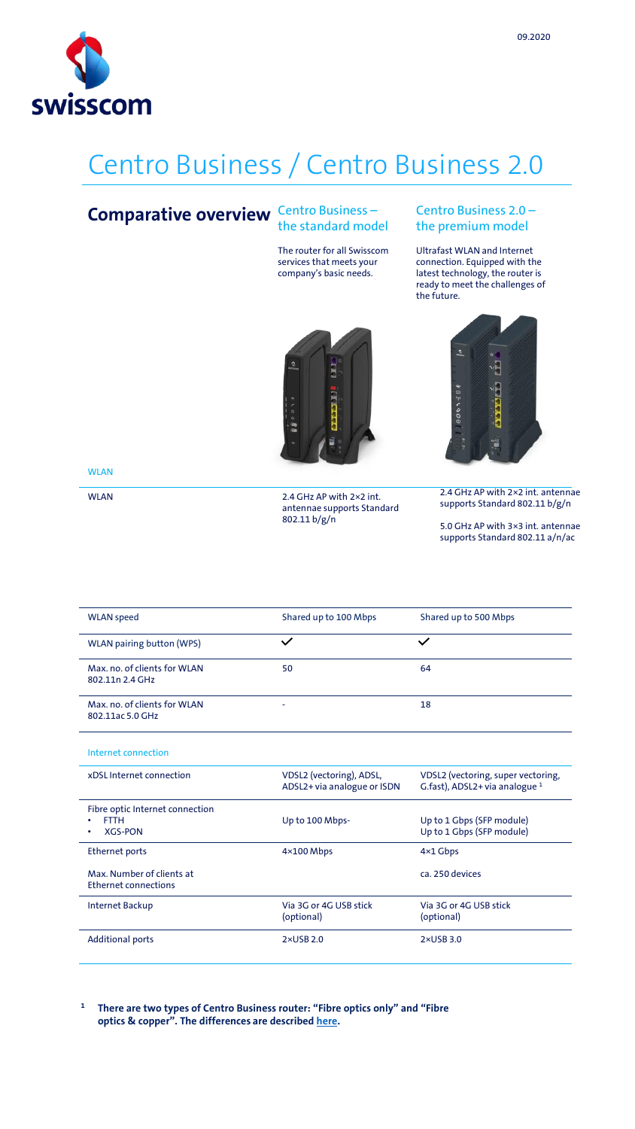

# Centro Business / Centro Business 2.0

#### Centro Business – **Comparative overview** Centro Business -

The router for all Swisscom services that meets your company's basic needs.

#### Centro Business 2.0 – the premium model

Ultrafast WLAN and Internet connection. Equipped with the latest technology, the router is ready to meet the challenges of the future.





**WLAN** 

WLAN 2.4 GHz AP with 2×2 int. antennae supports Standard 802.11 b/g/n

2.4 GHz AP with 2×2 int. antennae supports Standard 802.11 b/g/n

5.0 GHz AP with 3×3 int. antennae supports Standard 802.11 a/n/ac

| <b>WLAN</b> speed                                | Shared up to 100 Mbps | Shared up to 500 Mbps |
|--------------------------------------------------|-----------------------|-----------------------|
| <b>WLAN pairing button (WPS)</b>                 |                       | $\checkmark$          |
| Max, no. of clients for WLAN<br>802.11n 2.4 GHz  | 50                    | 64                    |
| Max, no. of clients for WLAN<br>802.11ac 5.0 GHz | -                     | 18                    |
| Internet connection                              |                       |                       |

| xDSL Internet connection                                              | VDSL2 (vectoring), ADSL,<br>ADSL2+ via analogue or ISDN | VDSL2 (vectoring, super vectoring,<br>G.fast), ADSL2+ via analogue <sup>1</sup> |
|-----------------------------------------------------------------------|---------------------------------------------------------|---------------------------------------------------------------------------------|
| Fibre optic Internet connection<br><b>FTTH</b><br><b>XGS-PON</b><br>٠ | Up to 100 Mbps-                                         | Up to 1 Gbps (SFP module)<br>Up to 1 Gbps (SFP module)                          |
| Ethernet ports                                                        | $4\times100$ Mbps                                       | $4\times1$ Gbps                                                                 |
| Max Number of clients at<br><b>Ethernet connections</b>               |                                                         | ca. 250 devices                                                                 |
| Internet Backup                                                       | Via 3G or 4G USB stick<br>(optional)                    | Via 3G or 4G USB stick<br>(optional)                                            |
| <b>Additional ports</b>                                               | $2 \times$ USB 2.0                                      | $2 \times$ USB 3.0                                                              |

**<sup>1</sup>There are two types of Centro Business router: "Fibre optics only" and "Fibre optics & copper". The differences are described [here](http://documents.swisscom.com/product/1000260-Connectivity_Geraete_/Documents/Spezifikationen/Centro_Business_2_Auspraegungen-de.pdf).**